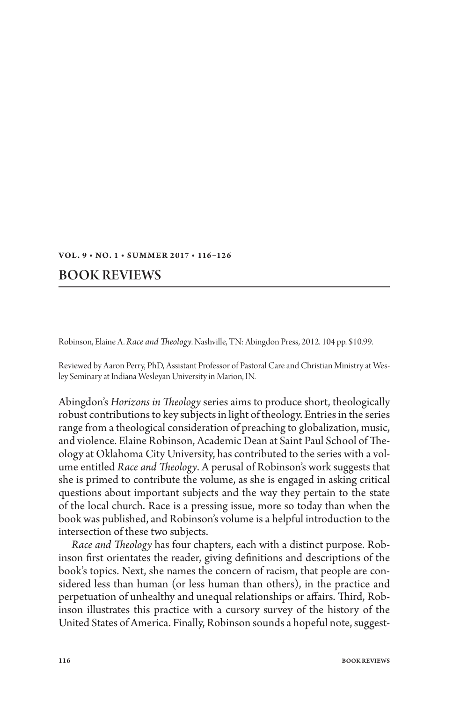## VOL. 9 · NO. 1 · SUMMER 2017 · 116-126

## Book Reviews

Robinson, Elaine A. *Race and Theology*. Nashville, TN: Abingdon Press, 2012. 104 pp. \$10.99.

Reviewed by Aaron Perry, PhD, Assistant Professor of Pastoral Care and Christian Ministry at Wesley Seminary at Indiana Wesleyan University in Marion, IN.

Abingdon's *Horizons in Theology* series aims to produce short, theologically robust contributions to key subjects in light of theology. Entries in the series range from a theological consideration of preaching to globalization, music, and violence. Elaine Robinson, Academic Dean at Saint Paul School of Theology at Oklahoma City University, has contributed to the series with a volume entitled *Race and Theology*. A perusal of Robinson's work suggests that she is primed to contribute the volume, as she is engaged in asking critical questions about important subjects and the way they pertain to the state of the local church. Race is a pressing issue, more so today than when the book was published, and Robinson's volume is a helpful introduction to the intersection of these two subjects.

*Race and Theology* has four chapters, each with a distinct purpose. Robinson first orientates the reader, giving definitions and descriptions of the book's topics. Next, she names the concern of racism, that people are considered less than human (or less human than others), in the practice and perpetuation of unhealthy and unequal relationships or affairs. Third, Robinson illustrates this practice with a cursory survey of the history of the United States of America. Finally, Robinson sounds a hopeful note, suggest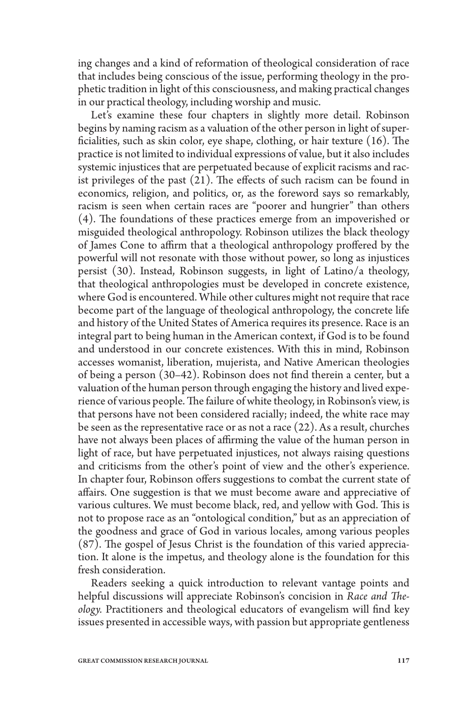ing changes and a kind of reformation of theological consideration of race that includes being conscious of the issue, performing theology in the prophetic tradition in light of this consciousness, and making practical changes in our practical theology, including worship and music.

Let's examine these four chapters in slightly more detail. Robinson begins by naming racism as a valuation of the other person in light of superficialities, such as skin color, eye shape, clothing, or hair texture (16). The practice is not limited to individual expressions of value, but it also includes systemic injustices that are perpetuated because of explicit racisms and racist privileges of the past (21). The effects of such racism can be found in economics, religion, and politics, or, as the foreword says so remarkably, racism is seen when certain races are "poorer and hungrier" than others (4). The foundations of these practices emerge from an impoverished or misguided theological anthropology. Robinson utilizes the black theology of James Cone to affirm that a theological anthropology proffered by the powerful will not resonate with those without power, so long as injustices persist (30). Instead, Robinson suggests, in light of Latino/a theology, that theological anthropologies must be developed in concrete existence, where God is encountered. While other cultures might not require that race become part of the language of theological anthropology, the concrete life and history of the United States of America requires its presence. Race is an integral part to being human in the American context, if God is to be found and understood in our concrete existences. With this in mind, Robinson accesses womanist, liberation, mujerista, and Native American theologies of being a person (30–42). Robinson does not find therein a center, but a valuation of the human person through engaging the history and lived experience of various people. The failure of white theology, in Robinson's view, is that persons have not been considered racially; indeed, the white race may be seen as the representative race or as not a race (22). As a result, churches have not always been places of affirming the value of the human person in light of race, but have perpetuated injustices, not always raising questions and criticisms from the other's point of view and the other's experience. In chapter four, Robinson offers suggestions to combat the current state of affairs. One suggestion is that we must become aware and appreciative of various cultures. We must become black, red, and yellow with God. This is not to propose race as an "ontological condition," but as an appreciation of the goodness and grace of God in various locales, among various peoples (87). The gospel of Jesus Christ is the foundation of this varied appreciation. It alone is the impetus, and theology alone is the foundation for this fresh consideration.

Readers seeking a quick introduction to relevant vantage points and helpful discussions will appreciate Robinson's concision in *Race and Theology.* Practitioners and theological educators of evangelism will find key issues presented in accessible ways, with passion but appropriate gentleness